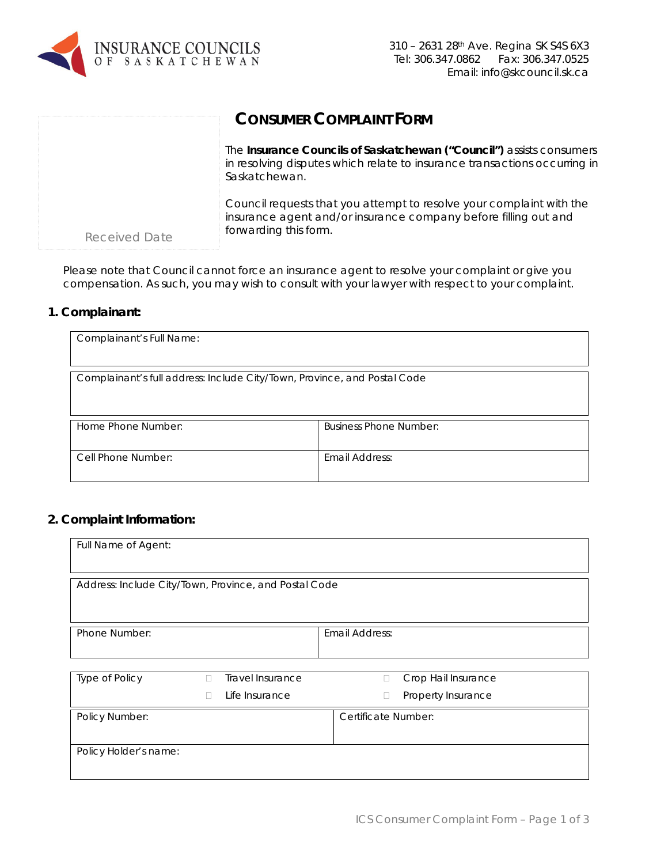

|               | <b>CONSUMER COMPLAINT FORM</b>                                                                                                                                     |
|---------------|--------------------------------------------------------------------------------------------------------------------------------------------------------------------|
|               | The Insurance Councils of Saskatchewan ("Council") assists consumers<br>in resolving disputes which relate to insurance transactions occurring in<br>Saskatchewan. |
| Received Date | Council requests that you attempt to resolve your complaint with the<br>insurance agent and/or insurance company before filling out and<br>forwarding this form.   |

Please note that Council cannot force an insurance agent to resolve your complaint or give you compensation. As such, you may wish to consult with your lawyer with respect to your complaint.

## **1. Complainant:**

| Complainant's Full Name:                                                 |                               |
|--------------------------------------------------------------------------|-------------------------------|
| Complainant's full address: Include City/Town, Province, and Postal Code |                               |
| Home Phone Number:                                                       | <b>Business Phone Number:</b> |
| Cell Phone Number:                                                       | Email Address:                |

## **2. Complaint Information:**

| Full Name of Agent:                                   |   |                  |                       |                     |                     |  |  |
|-------------------------------------------------------|---|------------------|-----------------------|---------------------|---------------------|--|--|
| Address: Include City/Town, Province, and Postal Code |   |                  |                       |                     |                     |  |  |
| Phone Number:                                         |   |                  | <b>Email Address:</b> |                     |                     |  |  |
| Type of Policy                                        | л | Travel Insurance |                       | П                   | Crop Hail Insurance |  |  |
|                                                       |   | Life Insurance   |                       | $\Box$              | Property Insurance  |  |  |
| Policy Number:                                        |   |                  |                       | Certificate Number: |                     |  |  |
| Policy Holder's name:                                 |   |                  |                       |                     |                     |  |  |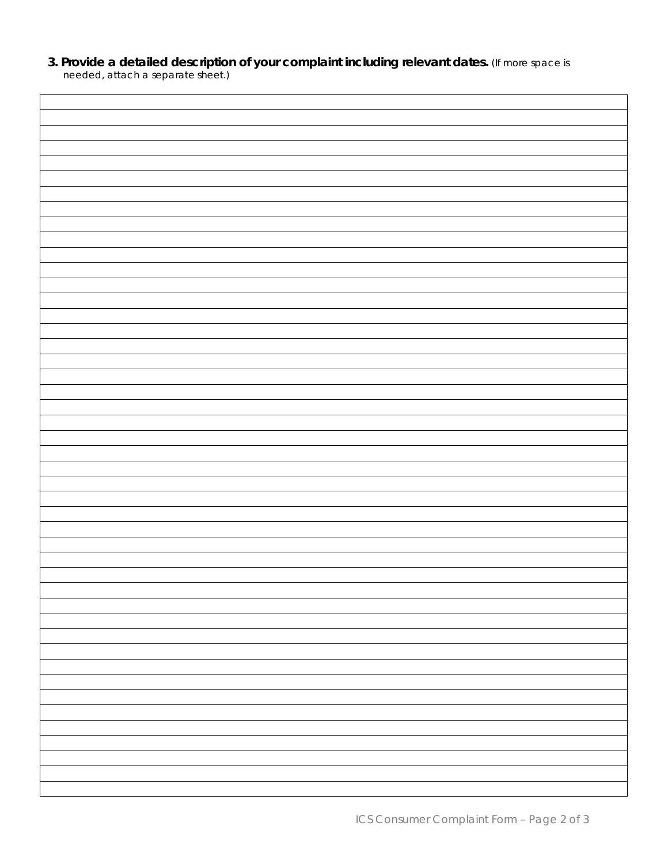**3. Provide a detailed description of your complaint including relevant dates.** *(If more space is needed, attach a separate sheet.)*